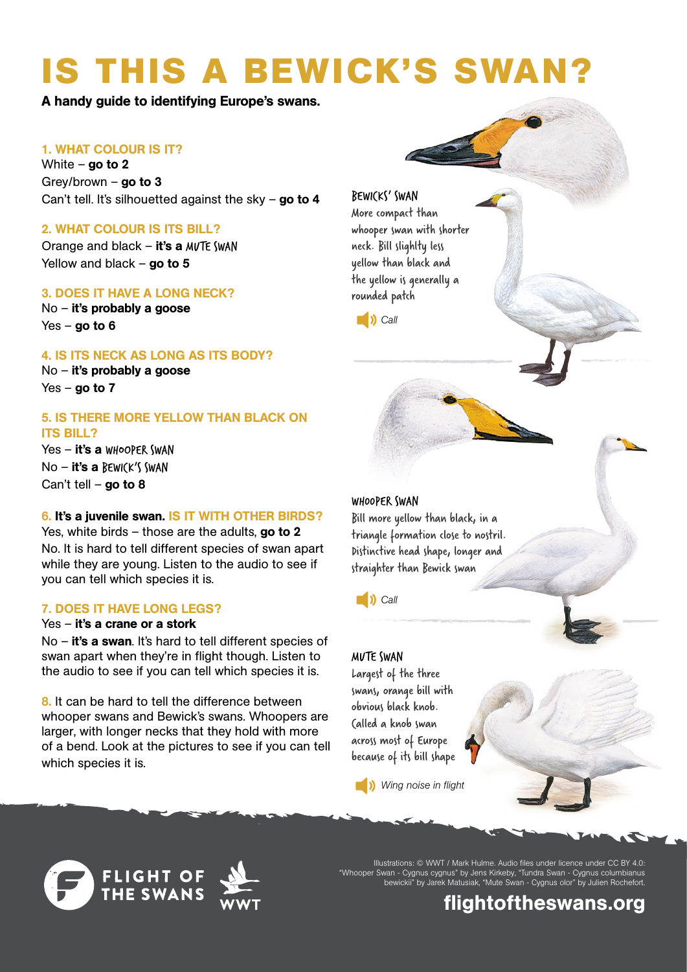# **IS THIS A BEWICK'S SWAN?**

A handy guide to identifying Europe's swans.

#### 1. WHAT COLOUR IS IT?

White – go to  $2$ Grey/brown  $-$  go to 3 Can't tell. It's silhouetted against the sky – go to 4

#### 2. WHAT COLOUR IS ITS BILL?

Orange and black  $-$  it's a MVTE SWAN Yellow and black – go to  $5$ 

#### 3. DOES IT HAVE A LONG NECK?

No – it's probably a goose  $Yes - qo to 6$ 

#### 4. IS ITS NECK AS LONG AS ITS BODY?

No – it's probably a goose  $Yes - qo to 7$ 

#### 5. IS THERE MORE YELLOW THAN BLACK ON ITS BILL?

Yes - it's a WHOOPER SWAN No – it's a BEWICK'S SWAN Can't tell – go to  $8$ 

#### 6. It's a juvenile swan. IS IT WITH OTHER BIRDS?

Yes, white birds – those are the adults, go to  $2$ No. It is hard to tell different species of swan apart while they are young. Listen to the audio to see if you can tell which species it is.

#### 7. DOES IT HAVE LONG LEGS?

#### Yes – it's a crane or a stork

No - it's a swan. It's hard to tell different species of swan apart when they're in flight though. Listen to the audio to see if you can tell which species it is.

8. It can be hard to tell the difference between whooper swans and Bewick's swans. Whoopers are larger, with longer necks that they hold with more of a bend. Look at the pictures to see if you can tell which species it is.

#### BEWICKS' SWAN

More compact than whooper swan with shorter neck. Bill slighlty less yellow than black and the yellow is generally a rounded patch



#### WH00PER SWAN

Bill more yellow than black, in a triangle formation close to nostril. Distinctive head shape, longer and straighter than Bewick swan

**[C](http://www.wwt.org.uk/uploads/resources/swan_audio/whooper_swan.mp3)**<sub>all</sub>  $\overline{)}$  **C**all

#### MUTE SWAN

Largest of the three swans, orange bill with obvious black knob. Called a knob swan across most of Europe because of its bill shape

**b***[W](http://www.wwt.org.uk/uploads/resources/swan_audio/mute_swan.mp3)ing noise in flight* 







Illustrations: © WWT / Mark Hulme. Audio files under licence under CC BY 4.0: "Whooper Swan - Cygnus cygnus" by Jens Kirkeby, "Tundra Swan - Cygnus columbianus bewickii" by Jarek Matusiak, "Mute Swan - Cygnus olor" by Julien Rochefort.

### [flightoftheswans.org](http://flightoftheswans.org)